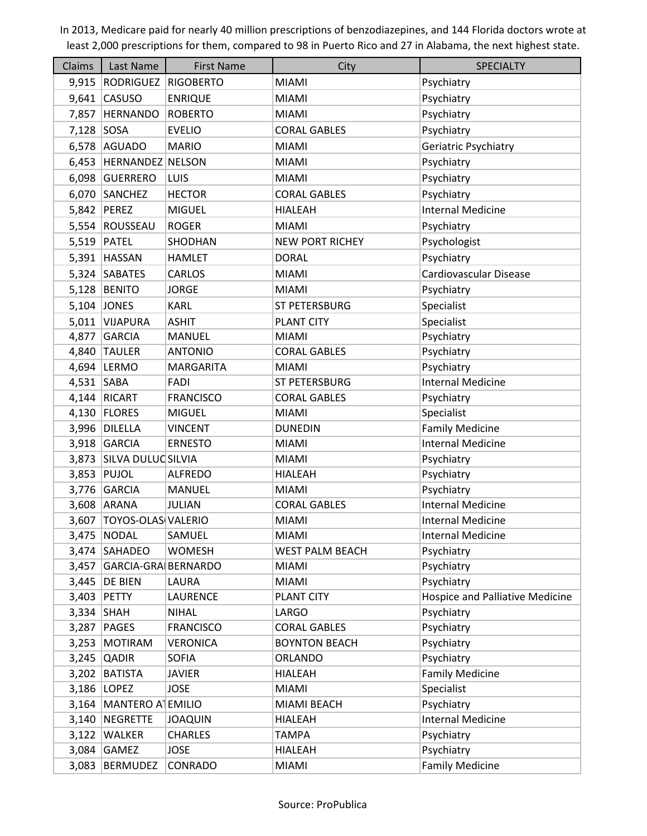| Claims       | Last Name                 | <b>First Name</b>            | City                   | <b>SPECIALTY</b>                     |
|--------------|---------------------------|------------------------------|------------------------|--------------------------------------|
| 9,915        | RODRIGUEZ RIGOBERTO       |                              | <b>MIAMI</b>           | Psychiatry                           |
| 9,641        | <b>CASUSO</b>             | <b>ENRIQUE</b>               | MIAMI                  | Psychiatry                           |
| 7,857        | HERNANDO                  | <b>ROBERTO</b>               | <b>MIAMI</b>           | Psychiatry                           |
| 7,128        | SOSA                      | <b>EVELIO</b>                | <b>CORAL GABLES</b>    | Psychiatry                           |
| 6,578        | <b>AGUADO</b>             | <b>MARIO</b>                 | <b>MIAMI</b>           | Geriatric Psychiatry                 |
| 6,453        | <b>HERNANDEZ NELSON</b>   |                              | <b>MIAMI</b>           | Psychiatry                           |
|              | 6,098 GUERRERO            | LUIS                         | <b>MIAMI</b>           | Psychiatry                           |
| 6,070        | SANCHEZ                   | <b>HECTOR</b>                | <b>CORAL GABLES</b>    | Psychiatry                           |
| 5,842        | PEREZ                     | <b>MIGUEL</b>                | <b>HIALEAH</b>         | <b>Internal Medicine</b>             |
|              | 5,554 ROUSSEAU            | <b>ROGER</b>                 | <b>MIAMI</b>           | Psychiatry                           |
| 5,519        | PATEL                     | SHODHAN                      | <b>NEW PORT RICHEY</b> | Psychologist                         |
| 5,391        | HASSAN                    | <b>HAMLET</b>                | <b>DORAL</b>           | Psychiatry                           |
|              | 5,324 SABATES             | <b>CARLOS</b>                | <b>MIAMI</b>           | Cardiovascular Disease               |
|              | 5,128 BENITO              | <b>JORGE</b>                 | <b>MIAMI</b>           | Psychiatry                           |
| 5,104        | <b>JONES</b>              | <b>KARL</b>                  | <b>ST PETERSBURG</b>   | Specialist                           |
|              | 5,011 VIJAPURA            | <b>ASHIT</b>                 | <b>PLANT CITY</b>      | Specialist                           |
| 4,877        | GARCIA                    | <b>MANUEL</b>                | <b>MIAMI</b>           | Psychiatry                           |
| 4,840        | <b>TAULER</b>             | <b>ANTONIO</b>               | <b>CORAL GABLES</b>    | Psychiatry                           |
|              | 4,694 LERMO               | <b>MARGARITA</b>             | <b>MIAMI</b>           | Psychiatry                           |
| $4,531$ SABA |                           | FADI                         | ST PETERSBURG          | <b>Internal Medicine</b>             |
| 4,144        | RICART                    | <b>FRANCISCO</b>             | <b>CORAL GABLES</b>    | Psychiatry                           |
|              | 4,130   FLORES            | <b>MIGUEL</b>                | <b>MIAMI</b>           | Specialist                           |
| 3,996        | DILELLA                   | <b>VINCENT</b>               | <b>DUNEDIN</b>         | <b>Family Medicine</b>               |
|              | 3,918 GARCIA              | <b>ERNESTO</b>               | MIAMI                  | <b>Internal Medicine</b>             |
| 3,873        | SILVA DULUCSILVIA         |                              | <b>MIAMI</b>           | Psychiatry                           |
| 3,853        | PUJOL                     | <b>ALFREDO</b>               | <b>HIALEAH</b>         | Psychiatry                           |
|              | 3,776 GARCIA              | <b>MANUEL</b>                | <b>MIAMI</b>           | Psychiatry                           |
|              | 3,608 ARANA               | <b>JULIAN</b>                | <b>CORAL GABLES</b>    | <b>Internal Medicine</b>             |
| 3,607        | <b>TOYOS-OLAS VALERIO</b> |                              | <b>MIAMI</b>           | <b>Internal Medicine</b>             |
| 3,475        | <b>NODAL</b>              | SAMUEL                       | <b>MIAMI</b>           | <b>Internal Medicine</b>             |
| 3,474        | SAHADEO                   | <b>WOMESH</b>                | WEST PALM BEACH        | Psychiatry                           |
| 3,457        | GARCIA-GRA BERNARDO       |                              | <b>MIAMI</b>           | Psychiatry                           |
| 3,445        | <b>DE BIEN</b>            | LAURA                        | <b>MIAMI</b>           | Psychiatry                           |
| 3,403        | PETTY                     | <b>LAURENCE</b>              | <b>PLANT CITY</b>      | Hospice and Palliative Medicine      |
| 3,334        | <b>SHAH</b>               | <b>NIHAL</b>                 | LARGO                  | Psychiatry                           |
| 3,287        | PAGES                     | <b>FRANCISCO</b>             | <b>CORAL GABLES</b>    | Psychiatry                           |
| 3,253        | <b>MOTIRAM</b>            | <b>VERONICA</b>              | <b>BOYNTON BEACH</b>   | Psychiatry                           |
| 3,245        | <b>QADIR</b>              | <b>SOFIA</b>                 | <b>ORLANDO</b>         | Psychiatry                           |
| 3,202        | BATISTA<br>3,186   LOPEZ  | <b>JAVIER</b><br><b>JOSE</b> | HIALEAH<br>MIAMI       | <b>Family Medicine</b><br>Specialist |
| 3,164        | MANTERO ATEMILIO          |                              | MIAMI BEACH            | Psychiatry                           |
| 3,140        | NEGRETTE                  | <b>JOAQUIN</b>               | <b>HIALEAH</b>         | <b>Internal Medicine</b>             |
| 3,122        | <b>WALKER</b>             | <b>CHARLES</b>               | <b>TAMPA</b>           | Psychiatry                           |
|              | $3,084$ GAMEZ             | <b>JOSE</b>                  | HIALEAH                | Psychiatry                           |
|              |                           |                              |                        |                                      |
| 3,083        | BERMUDEZ                  | CONRADO                      | <b>MIAMI</b>           | <b>Family Medicine</b>               |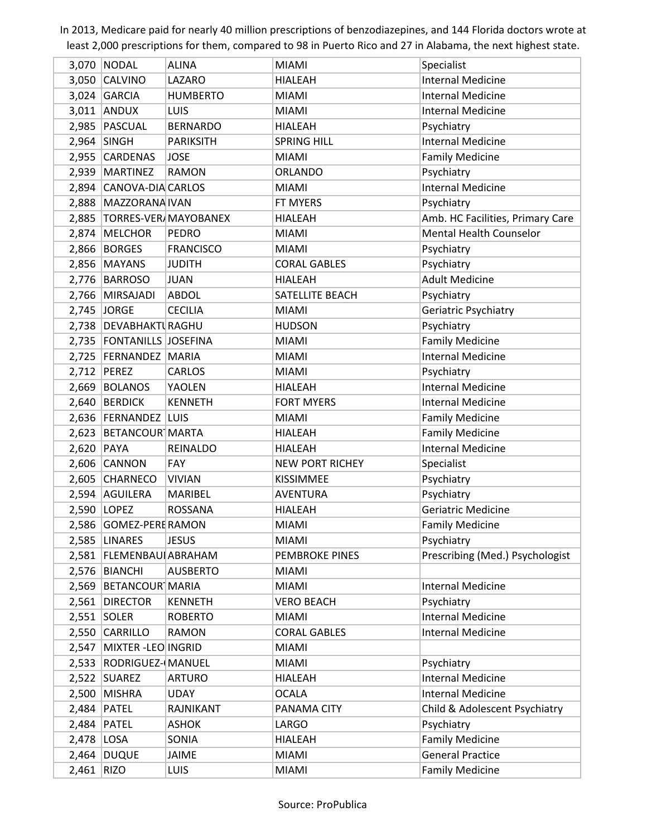|            | 3,070   NODAL                 | <b>ALINA</b>                | <b>MIAMI</b>           | Specialist                       |
|------------|-------------------------------|-----------------------------|------------------------|----------------------------------|
| 3,050      | <b>CALVINO</b>                | LAZARO                      | <b>HIALEAH</b>         | <b>Internal Medicine</b>         |
|            | $3,024$ GARCIA                | <b>HUMBERTO</b>             | <b>MIAMI</b>           | <b>Internal Medicine</b>         |
|            | $3,011$ ANDUX                 | LUIS                        | <b>MIAMI</b>           | <b>Internal Medicine</b>         |
|            | 2,985 PASCUAL                 | <b>BERNARDO</b>             | <b>HIALEAH</b>         | Psychiatry                       |
|            | $2,964$ SINGH                 | <b>PARIKSITH</b>            | <b>SPRING HILL</b>     | <b>Internal Medicine</b>         |
| 2,955      | <b>CARDENAS</b>               | <b>JOSE</b>                 | <b>MIAMI</b>           | <b>Family Medicine</b>           |
| 2,939      | <b>MARTINEZ</b>               | <b>RAMON</b>                | <b>ORLANDO</b>         | Psychiatry                       |
|            | 2,894 CANOVA-DIA CARLOS       |                             | <b>MIAMI</b>           | <b>Internal Medicine</b>         |
|            | 2,888   MAZZORANA IVAN        |                             | FT MYERS               | Psychiatry                       |
| 2,885      |                               | <b>TORRES-VER/MAYOBANEX</b> | HIALEAH                | Amb. HC Facilities, Primary Care |
| 2,874      | MELCHOR                       | <b>PEDRO</b>                | <b>MIAMI</b>           | <b>Mental Health Counselor</b>   |
|            | $2,866$ BORGES                | <b>FRANCISCO</b>            | <b>MIAMI</b>           | Psychiatry                       |
|            | $2,856$ MAYANS                | <b>JUDITH</b>               | <b>CORAL GABLES</b>    | Psychiatry                       |
|            | 2,776 BARROSO                 | <b>JUAN</b>                 | <b>HIALEAH</b>         | <b>Adult Medicine</b>            |
| 2,766      | MIRSAJADI                     | <b>ABDOL</b>                | SATELLITE BEACH        | Psychiatry                       |
|            | 2,745 JORGE                   | <b>CECILIA</b>              | <b>MIAMI</b>           | Geriatric Psychiatry             |
|            | 2,738   DEVABHAKTI RAGHU      |                             | <b>HUDSON</b>          | Psychiatry                       |
|            | 2,735   FONTANILLS   JOSEFINA |                             | <b>MIAMI</b>           | <b>Family Medicine</b>           |
|            | 2,725   FERNANDEZ   MARIA     |                             | <b>MIAMI</b>           | <b>Internal Medicine</b>         |
|            | 2,712 PEREZ                   | <b>CARLOS</b>               | <b>MIAMI</b>           | Psychiatry                       |
| 2,669      | <b>BOLANOS</b>                | YAOLEN                      | <b>HIALEAH</b>         | <b>Internal Medicine</b>         |
|            | 2,640 BERDICK                 | <b>KENNETH</b>              | <b>FORT MYERS</b>      | <b>Internal Medicine</b>         |
|            | 2,636   FERNANDEZ   LUIS      |                             | <b>MIAMI</b>           | <b>Family Medicine</b>           |
|            | 2,623 BETANCOUR MARTA         |                             | <b>HIALEAH</b>         | <b>Family Medicine</b>           |
| 2,620      | PAYA                          | REINALDO                    | <b>HIALEAH</b>         | <b>Internal Medicine</b>         |
|            | $2,606$ CANNON                | FAY                         | <b>NEW PORT RICHEY</b> | Specialist                       |
|            | 2,605 CHARNECO                | <b>VIVIAN</b>               | <b>KISSIMMEE</b>       | Psychiatry                       |
|            | 2,594 AGUILERA                | MARIBEL                     | AVENTURA               | Psychiatry                       |
|            | 2,590 LOPEZ                   | <b>ROSSANA</b>              | HIALEAH                | <b>Geriatric Medicine</b>        |
|            | 2,586 GOMEZ-PERE RAMON        |                             | <b>MIAMI</b>           | <b>Family Medicine</b>           |
|            | 2,585 LINARES                 | <b>JESUS</b>                | <b>MIAMI</b>           | Psychiatry                       |
|            | 2,581   FLEMENBAUI ABRAHAM    |                             | <b>PEMBROKE PINES</b>  | Prescribing (Med.) Psychologist  |
|            | 2,576 BIANCHI                 | <b>AUSBERTO</b>             | <b>MIAMI</b>           |                                  |
| 2,569      | BETANCOUR MARIA               |                             | <b>MIAMI</b>           | <b>Internal Medicine</b>         |
|            | 2,561 DIRECTOR                | <b>KENNETH</b>              | <b>VERO BEACH</b>      | Psychiatry                       |
|            | $2,551$ SOLER                 | <b>ROBERTO</b>              | <b>MIAMI</b>           | <b>Internal Medicine</b>         |
|            | 2,550 CARRILLO                | <b>RAMON</b>                | <b>CORAL GABLES</b>    | <b>Internal Medicine</b>         |
| 2,547      | MIXTER-LEO INGRID             |                             | <b>MIAMI</b>           |                                  |
|            | 2,533   RODRIGUEZ- MANUEL     |                             | <b>MIAMI</b>           | Psychiatry                       |
|            | $2,522$ SUAREZ                | <b>ARTURO</b>               | <b>HIALEAH</b>         | <b>Internal Medicine</b>         |
| 2,500      | MISHRA                        | <b>UDAY</b>                 | <b>OCALA</b>           | <b>Internal Medicine</b>         |
|            | $2,484$ PATEL                 | RAJNIKANT                   | PANAMA CITY            | Child & Adolescent Psychiatry    |
|            | $2,484$ PATEL                 | <b>ASHOK</b>                | LARGO                  | Psychiatry                       |
| 2,478 LOSA |                               | SONIA                       | <b>HIALEAH</b>         | <b>Family Medicine</b>           |
|            | $2,464$ DUQUE                 | <b>JAIME</b>                | <b>MIAMI</b>           | <b>General Practice</b>          |
| 2,461      | <b>RIZO</b>                   | <b>LUIS</b>                 | <b>MIAMI</b>           | <b>Family Medicine</b>           |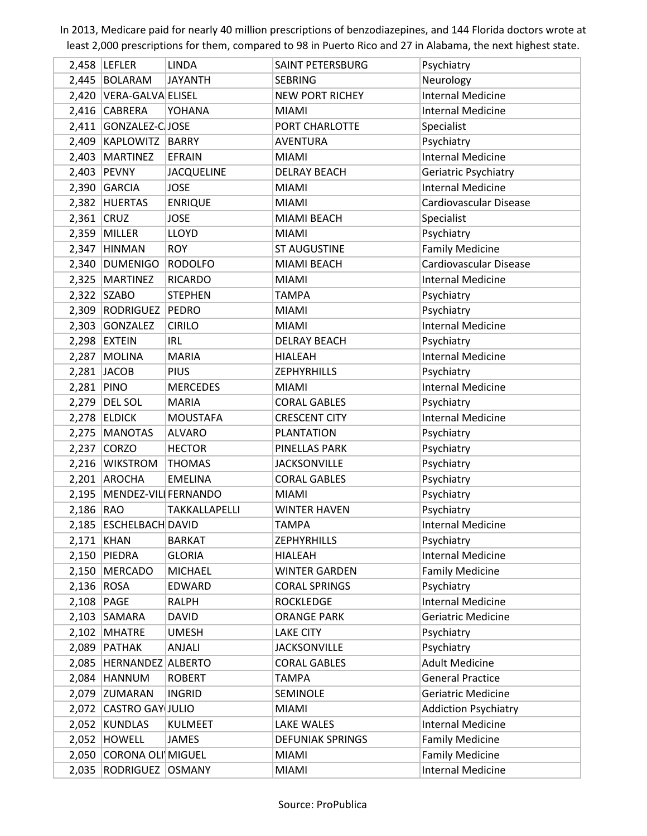|              | $2,458$ LEFLER            | <b>LINDA</b>         | <b>SAINT PETERSBURG</b> | Psychiatry                  |
|--------------|---------------------------|----------------------|-------------------------|-----------------------------|
|              | 2,445 BOLARAM             | <b>JAYANTH</b>       | <b>SEBRING</b>          | Neurology                   |
|              | 2,420   VERA-GALVA ELISEL |                      | <b>NEW PORT RICHEY</b>  | <b>Internal Medicine</b>    |
|              | 2,416 CABRERA             | YOHANA               | <b>MIAMI</b>            | <b>Internal Medicine</b>    |
|              | 2,411 GONZALEZ-CJOSE      |                      | PORT CHARLOTTE          | Specialist                  |
|              | 2,409 KAPLOWITZ BARRY     |                      | <b>AVENTURA</b>         | Psychiatry                  |
| 2,403        | <b>MARTINEZ</b>           | <b>EFRAIN</b>        | <b>MIAMI</b>            | <b>Internal Medicine</b>    |
| 2,403        | PEVNY                     | <b>JACQUELINE</b>    | <b>DELRAY BEACH</b>     | Geriatric Psychiatry        |
|              | $2,390$ GARCIA            | <b>JOSE</b>          | <b>MIAMI</b>            | <b>Internal Medicine</b>    |
|              | 2,382 HUERTAS             | <b>ENRIQUE</b>       | <b>MIAMI</b>            | Cardiovascular Disease      |
| $2,361$ CRUZ |                           | <b>JOSE</b>          | MIAMI BEACH             | Specialist                  |
| 2,359        | MILLER                    | <b>LLOYD</b>         | <b>MIAMI</b>            | Psychiatry                  |
| 2,347        | HINMAN                    | <b>ROY</b>           | <b>ST AUGUSTINE</b>     | <b>Family Medicine</b>      |
| 2,340        | DUMENIGO                  | <b>RODOLFO</b>       | MIAMI BEACH             | Cardiovascular Disease      |
| 2,325        | MARTINEZ                  | <b>RICARDO</b>       | <b>MIAMI</b>            | <b>Internal Medicine</b>    |
| 2,322        | SZABO                     | <b>STEPHEN</b>       | <b>TAMPA</b>            | Psychiatry                  |
| 2,309        | RODRIGUEZ                 | PEDRO                | <b>MIAMI</b>            | Psychiatry                  |
|              | 2,303 GONZALEZ            | <b>CIRILO</b>        | <b>MIAMI</b>            | <b>Internal Medicine</b>    |
|              | $2,298$ EXTEIN            | <b>IRL</b>           | <b>DELRAY BEACH</b>     | Psychiatry                  |
| 2,287        | <b>MOLINA</b>             | <b>MARIA</b>         | <b>HIALEAH</b>          | <b>Internal Medicine</b>    |
| 2,281        | <b>JACOB</b>              | <b>PIUS</b>          | <b>ZEPHYRHILLS</b>      | Psychiatry                  |
| 2,281        | PINO                      | <b>MERCEDES</b>      | <b>MIAMI</b>            | <b>Internal Medicine</b>    |
|              | 2,279 DEL SOL             | <b>MARIA</b>         | <b>CORAL GABLES</b>     | Psychiatry                  |
|              | $2,278$ ELDICK            | <b>MOUSTAFA</b>      | <b>CRESCENT CITY</b>    | <b>Internal Medicine</b>    |
| 2,275        | <b>MANOTAS</b>            | <b>ALVARO</b>        | <b>PLANTATION</b>       | Psychiatry                  |
| 2,237        | <b>CORZO</b>              | <b>HECTOR</b>        | PINELLAS PARK           | Psychiatry                  |
| 2,216        | <b>WIKSTROM</b>           | <b>THOMAS</b>        | <b>JACKSONVILLE</b>     | Psychiatry                  |
|              | 2,201 AROCHA              | <b>EMELINA</b>       | <b>CORAL GABLES</b>     | Psychiatry                  |
| 2,195        | MENDEZ-VILL FERNANDO      |                      | <b>MIAMI</b>            | Psychiatry                  |
| $2,186$ RAO  |                           | <b>TAKKALLAPELLI</b> | <b>WINTER HAVEN</b>     | Psychiatry                  |
|              | 2,185   ESCHELBACH DAVID  |                      | TAMPA                   | <b>Internal Medicine</b>    |
| 2,171 KHAN   |                           | <b>BARKAT</b>        | <b>ZEPHYRHILLS</b>      | Psychiatry                  |
| 2,150        | PIEDRA                    | <b>GLORIA</b>        | <b>HIALEAH</b>          | <b>Internal Medicine</b>    |
| 2,150        | MERCADO                   | <b>MICHAEL</b>       | <b>WINTER GARDEN</b>    | <b>Family Medicine</b>      |
| 2,136 ROSA   |                           | EDWARD               | <b>CORAL SPRINGS</b>    | Psychiatry                  |
| 2,108   PAGE |                           | <b>RALPH</b>         | <b>ROCKLEDGE</b>        | <b>Internal Medicine</b>    |
|              | $2,103$ SAMARA            | <b>DAVID</b>         | <b>ORANGE PARK</b>      | Geriatric Medicine          |
|              | $2,102$ MHATRE            | <b>UMESH</b>         | <b>LAKE CITY</b>        | Psychiatry                  |
| 2,089        | PATHAK                    | ANJALI               | <b>JACKSONVILLE</b>     | Psychiatry                  |
| 2,085        | HERNANDEZ ALBERTO         |                      | <b>CORAL GABLES</b>     | <b>Adult Medicine</b>       |
|              | $2,084$ HANNUM            | <b>ROBERT</b>        | <b>TAMPA</b>            | <b>General Practice</b>     |
|              | 2,079 ZUMARAN             | <b>INGRID</b>        | <b>SEMINOLE</b>         | <b>Geriatric Medicine</b>   |
|              | 2,072 CASTRO GAY JULIO    |                      | <b>MIAMI</b>            | <b>Addiction Psychiatry</b> |
| 2,052        | <b>KUNDLAS</b>            | <b>KULMEET</b>       | LAKE WALES              | <b>Internal Medicine</b>    |
|              | $2,052$ HOWELL            | <b>JAMES</b>         | <b>DEFUNIAK SPRINGS</b> | <b>Family Medicine</b>      |
| 2,050        | CORONA OLI MIGUEL         |                      | <b>MIAMI</b>            | <b>Family Medicine</b>      |
| 2,035        | RODRIGUEZ OSMANY          |                      | <b>MIAMI</b>            | <b>Internal Medicine</b>    |